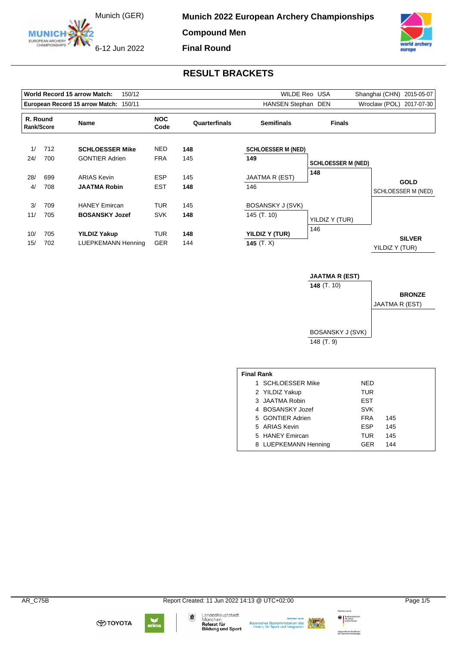Munich (GER)

6-12 Jun 2022

EUROPEAN ARCHERY

**Munich 2022 European Archery Championships** 

**Compound Men**

**Final Round**



### **RESULT BRACKETS**

|                        |     | <b>World Record 15 arrow Match:</b><br>150/12 |                    |                                    | WILDE Reo USA             |                           | Shanghai (CHN)<br>2015-05-07    |
|------------------------|-----|-----------------------------------------------|--------------------|------------------------------------|---------------------------|---------------------------|---------------------------------|
|                        |     | European Record 15 arrow Match: 150/11        |                    |                                    | HANSEN Stephan DEN        |                           | Wroclaw (POL)<br>2017-07-30     |
| R. Round<br>Rank/Score |     | <b>Name</b>                                   | <b>NOC</b><br>Code | <b>Semifinals</b><br>Quarterfinals |                           | <b>Finals</b>             |                                 |
| 1/                     | 712 | <b>SCHLOESSER Mike</b>                        | <b>NED</b>         | 148                                | <b>SCHLOESSER M (NED)</b> |                           |                                 |
| 24/                    | 700 | <b>GONTIER Adrien</b>                         | <b>FRA</b>         | 145                                | 149                       | <b>SCHLOESSER M (NED)</b> |                                 |
| 28/                    | 699 | <b>ARIAS Kevin</b>                            | <b>ESP</b>         | 145                                | JAATMA R (EST)            | 148                       | <b>GOLD</b>                     |
| 4/                     | 708 | <b>JAATMA Robin</b>                           | <b>EST</b>         | 148                                | 146                       |                           | SCHLOESSER M (NED)              |
| 3/                     | 709 | <b>HANEY Emircan</b>                          | <b>TUR</b>         | 145                                | BOSANSKY J (SVK)          |                           |                                 |
| 11/                    | 705 | <b>BOSANSKY Jozef</b>                         | <b>SVK</b>         | 148                                | 145 (T. 10)               | YILDIZ Y (TUR)            |                                 |
| 10/                    | 705 | <b>YILDIZ Yakup</b>                           | TUR                | 148                                | YILDIZ Y (TUR)            | 146                       |                                 |
| 15/                    | 702 | LUEPKEMANN Henning                            | <b>GER</b>         | 144                                | 145 $(T. X)$              |                           | <b>SILVER</b><br>YILDIZ Y (TUR) |

**JAATMA R (EST) 148** (T. 10) BOSANSKY J (SVK) 148 (T. 9) **BRONZE** JAATMA R (EST)

| <b>Final Rank</b> |                      |            |     |  |  |  |  |  |  |
|-------------------|----------------------|------------|-----|--|--|--|--|--|--|
|                   | 1 SCHLOESSER Mike    | NFD        |     |  |  |  |  |  |  |
|                   | 2 YILDIZ Yakup       | TUR        |     |  |  |  |  |  |  |
|                   | 3 JAATMA Robin       | EST        |     |  |  |  |  |  |  |
|                   | 4 BOSANSKY Jozef     | <b>SVK</b> |     |  |  |  |  |  |  |
|                   | 5 GONTIER Adrien     | <b>FRA</b> | 145 |  |  |  |  |  |  |
|                   | 5 ARIAS Kevin        | <b>ESP</b> | 145 |  |  |  |  |  |  |
|                   | 5 HANEY Emircan      | TUR        | 145 |  |  |  |  |  |  |
|                   | 8 LUEPKEMANN Henning | GFR        | 144 |  |  |  |  |  |  |







Landeshauptstadt<br>München<br>**Referat für**<br>**Bildung und Sport** 

Bayerisches Staatsministerium des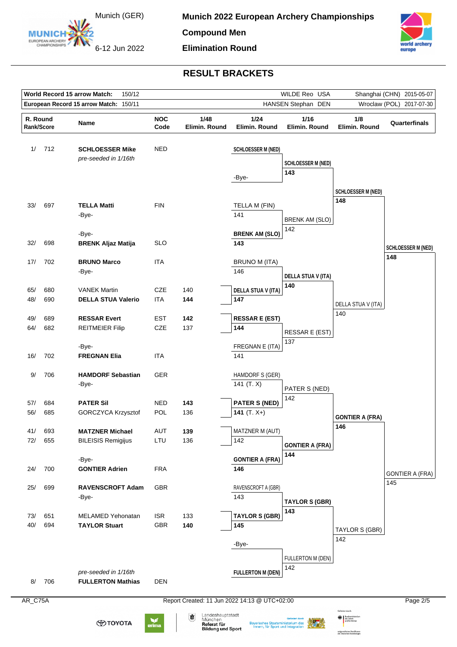

**Compound Men**

6-12 Jun 2022

**Elimination Round**



# **RESULT BRACKETS**

| World Record 15 arrow Match:<br>150/12 |                                                                                                                                                                                                                                                         |                                                  |                    |                                               | WILDE Reo USA                 | Shanghai (CHN) 2015-05-07        |                           |                           |  |  |
|----------------------------------------|---------------------------------------------------------------------------------------------------------------------------------------------------------------------------------------------------------------------------------------------------------|--------------------------------------------------|--------------------|-----------------------------------------------|-------------------------------|----------------------------------|---------------------------|---------------------------|--|--|
|                                        |                                                                                                                                                                                                                                                         | European Record 15 arrow Match: 150/11           |                    |                                               |                               | HANSEN Stephan DEN               | Wroclaw (POL) 2017-07-30  |                           |  |  |
| R. Round<br>Rank/Score                 |                                                                                                                                                                                                                                                         | Name                                             | <b>NOC</b><br>Code | 1/48<br>Elimin. Round                         | 1/24<br>Elimin. Round         | 1/16<br>Elimin. Round            | 1/8<br>Elimin. Round      | Quarterfinals             |  |  |
| 1/                                     | 712                                                                                                                                                                                                                                                     | <b>SCHLOESSER Mike</b><br>pre-seeded in 1/16th   | <b>NED</b>         |                                               | <b>SCHLOESSER M (NED)</b>     | <b>SCHLOESSER M (NED)</b><br>143 |                           |                           |  |  |
|                                        |                                                                                                                                                                                                                                                         |                                                  |                    |                                               | -Bye-                         |                                  | <b>SCHLOESSER M (NED)</b> |                           |  |  |
| 33/                                    | 697                                                                                                                                                                                                                                                     | <b>TELLA Matti</b>                               | <b>FIN</b>         |                                               | TELLA M (FIN)                 |                                  | 148                       |                           |  |  |
|                                        |                                                                                                                                                                                                                                                         | -Bye-                                            |                    |                                               | 141                           | <b>BRENK AM (SLO)</b><br>142     |                           |                           |  |  |
| 32/                                    | 698                                                                                                                                                                                                                                                     | -Bye-<br><b>BRENK Aljaz Matija</b>               | <b>SLO</b>         |                                               | <b>BRENK AM (SLO)</b><br>143  |                                  |                           | <b>SCHLOESSER M (NED)</b> |  |  |
| 17/                                    | 702                                                                                                                                                                                                                                                     | <b>BRUNO Marco</b><br>-Bye-                      | <b>ITA</b>         |                                               | <b>BRUNO M (ITA)</b><br>146   |                                  |                           | 148                       |  |  |
| 65/                                    | 680                                                                                                                                                                                                                                                     | <b>VANEK Martin</b>                              | <b>CZE</b>         | 140                                           | <b>DELLA STUA V (ITA)</b>     | <b>DELLA STUA V (ITA)</b><br>140 |                           |                           |  |  |
| 48/                                    | 690                                                                                                                                                                                                                                                     | <b>DELLA STUA Valerio</b>                        | <b>ITA</b>         | 144                                           | 147                           |                                  | DELLA STUA V (ITA)        |                           |  |  |
| 49/                                    | 689                                                                                                                                                                                                                                                     | <b>RESSAR Evert</b>                              | <b>EST</b>         | 142                                           | <b>RESSAR E (EST)</b>         |                                  | 140                       |                           |  |  |
| 64/                                    | 682                                                                                                                                                                                                                                                     | <b>REITMEIER Filip</b>                           | CZE                | 137                                           | 144                           | RESSAR E (EST)<br>137            |                           |                           |  |  |
| 16/                                    | 702                                                                                                                                                                                                                                                     | -Bye-<br><b>FREGNAN Elia</b>                     | <b>ITA</b>         |                                               | FREGNAN E (ITA)<br>141        |                                  |                           |                           |  |  |
| 9/                                     | 706                                                                                                                                                                                                                                                     | <b>HAMDORF Sebastian</b><br>-Bye-                | GER                |                                               | HAMDORF S (GER)<br>141 (T. X) | PATER S (NED)                    |                           |                           |  |  |
| 57/                                    | 684                                                                                                                                                                                                                                                     | <b>PATER Sil</b>                                 | <b>NED</b>         | 143                                           | <b>PATER S (NED)</b>          | 142                              |                           |                           |  |  |
| 56/                                    | 685                                                                                                                                                                                                                                                     | GORCZYCA Krzysztof                               | POL                | 136                                           | 141 $(T. X+)$                 |                                  | <b>GONTIER A (FRA)</b>    |                           |  |  |
| 41/                                    | 693                                                                                                                                                                                                                                                     | <b>MATZNER Michael</b>                           | <b>AUT</b>         | 139                                           | MATZNER M (AUT)               |                                  | 146                       |                           |  |  |
| 72/                                    | 655                                                                                                                                                                                                                                                     | <b>BILEISIS Remigijus</b>                        | LTU                | 136                                           | 142                           | <b>GONTIER A (FRA)</b>           |                           |                           |  |  |
| 24/                                    | 700                                                                                                                                                                                                                                                     | -Bye-<br><b>GONTIER Adrien</b>                   | <b>FRA</b>         |                                               | <b>GONTIER A (FRA)</b><br>146 | 144                              |                           | <b>GONTIER A (FRA)</b>    |  |  |
| 25/                                    | 699                                                                                                                                                                                                                                                     | <b>RAVENSCROFT Adam</b>                          | GBR                |                                               | RAVENSCROFT A (GBR)<br>143    |                                  |                           | 145                       |  |  |
|                                        |                                                                                                                                                                                                                                                         | -Bye-                                            |                    |                                               |                               | <b>TAYLOR S (GBR)</b><br>143     |                           |                           |  |  |
| 73/<br>40/                             | 651<br>694                                                                                                                                                                                                                                              | <b>MELAMED Yehonatan</b><br><b>TAYLOR Stuart</b> | <b>ISR</b><br>GBR  | 133<br>140                                    | <b>TAYLOR S (GBR)</b><br>145  |                                  | TAYLOR S (GBR)            |                           |  |  |
|                                        |                                                                                                                                                                                                                                                         |                                                  |                    |                                               | -Bye-                         |                                  | 142                       |                           |  |  |
|                                        |                                                                                                                                                                                                                                                         |                                                  |                    |                                               |                               | FULLERTON M (DEN)<br>142         |                           |                           |  |  |
| 8/                                     | 706                                                                                                                                                                                                                                                     | pre-seeded in 1/16th<br><b>FULLERTON Mathias</b> | <b>DEN</b>         |                                               | <b>FULLERTON M (DEN)</b>      |                                  |                           |                           |  |  |
| AR_C75A                                |                                                                                                                                                                                                                                                         |                                                  |                    | Report Created: 11 Jun 2022 14:13 @ UTC+02:00 |                               |                                  |                           | Page 2/5                  |  |  |
|                                        | Gefördert durch<br>Landeshauptstadt<br>咖<br>München<br>des Innem<br>und für Heimat<br>$\epsilon$<br>erima<br><b>⊕тоүота</b><br><b>Bayerisches Staatsministerium des</b><br>Referat für<br>Innern, für Sport und Integration<br><b>Bildung und Sport</b> |                                                  |                    |                                               |                               |                                  |                           |                           |  |  |

aufgrund eines Beschlusses<br>des Deutschen Bundestages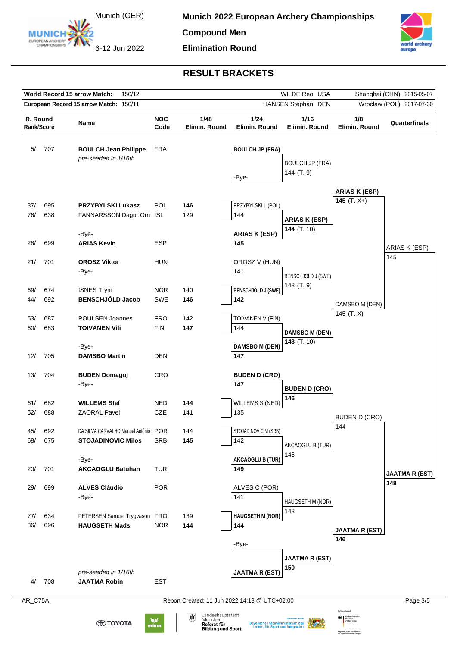

**Munich 2022 European Archery Championships** 

**Compound Men**

6-12 Jun 2022

**Elimination Round**



### **RESULT BRACKETS**

|                        |                                                                                                                                                                                                | World Record 15 arrow Match:<br>150/12              |                    |                                               |                           | WILDE Reo USA                          | Shanghai (CHN) 2015-05-07 |                       |  |  |  |
|------------------------|------------------------------------------------------------------------------------------------------------------------------------------------------------------------------------------------|-----------------------------------------------------|--------------------|-----------------------------------------------|---------------------------|----------------------------------------|---------------------------|-----------------------|--|--|--|
|                        |                                                                                                                                                                                                | European Record 15 arrow Match: 150/11              |                    |                                               |                           | HANSEN Stephan DEN                     | Wroclaw (POL) 2017-07-30  |                       |  |  |  |
| R. Round<br>Rank/Score |                                                                                                                                                                                                | Name                                                | <b>NOC</b><br>Code | 1/48<br>Elimin. Round                         | 1/24<br>Elimin. Round     | 1/16<br>Elimin. Round                  | 1/8<br>Elimin. Round      | Quarterfinals         |  |  |  |
| 5/                     | 707                                                                                                                                                                                            | <b>BOULCH Jean Philippe</b><br>pre-seeded in 1/16th | <b>FRA</b>         |                                               | <b>BOULCH JP (FRA)</b>    | <b>BOULCH JP (FRA)</b>                 |                           |                       |  |  |  |
|                        |                                                                                                                                                                                                |                                                     |                    |                                               | -Bye-                     | 144 (T. 9)                             | <b>ARIAS K (ESP)</b>      |                       |  |  |  |
| 37/                    | 695                                                                                                                                                                                            | <b>PRZYBYLSKI Lukasz</b>                            | POL                | 146                                           | PRZYBYLSKI L (POL)        |                                        | 145 $(T. X+)$             |                       |  |  |  |
| 76/                    | 638                                                                                                                                                                                            | FANNARSSON Dagur Orn ISL                            |                    | 129                                           | 144                       | <b>ARIAS K (ESP)</b>                   |                           |                       |  |  |  |
|                        |                                                                                                                                                                                                | -Bye-                                               |                    |                                               | <b>ARIAS K (ESP)</b>      | 144 (T. 10)                            |                           |                       |  |  |  |
| 28/                    | 699                                                                                                                                                                                            | <b>ARIAS Kevin</b>                                  | <b>ESP</b>         |                                               | 145                       |                                        |                           | ARIAS K (ESP)         |  |  |  |
| 21/                    | 701                                                                                                                                                                                            | <b>OROSZ Viktor</b>                                 | HUN                |                                               | OROSZ V (HUN)             |                                        |                           | 145                   |  |  |  |
|                        |                                                                                                                                                                                                | -Bye-                                               |                    |                                               | 141                       |                                        |                           |                       |  |  |  |
|                        |                                                                                                                                                                                                |                                                     |                    |                                               |                           | BENSCHJÖLD J (SWE)<br>143 (T. 9)       |                           |                       |  |  |  |
| 69/                    | 674                                                                                                                                                                                            | <b>ISNES Trym</b>                                   | <b>NOR</b>         | 140                                           | <b>BENSCHJÖLD J (SWE)</b> |                                        |                           |                       |  |  |  |
| 44/                    | 692                                                                                                                                                                                            | <b>BENSCHJÖLD Jacob</b>                             | <b>SWE</b>         | 146                                           | 142                       |                                        | DAMSBO M (DEN)            |                       |  |  |  |
| 53/                    | 687                                                                                                                                                                                            | POULSEN Joannes                                     | FRO                | 142                                           | TOIVANEN V (FIN)          |                                        | 145 (T.X)                 |                       |  |  |  |
| 60/                    | 683                                                                                                                                                                                            | <b>TOIVANEN Vili</b>                                | <b>FIN</b>         | 147                                           | 144                       |                                        |                           |                       |  |  |  |
|                        |                                                                                                                                                                                                |                                                     |                    |                                               |                           | <b>DAMSBO M (DEN)</b><br>143 $(T. 10)$ |                           |                       |  |  |  |
|                        |                                                                                                                                                                                                | -Bye-                                               |                    |                                               | <b>DAMSBO M (DEN)</b>     |                                        |                           |                       |  |  |  |
| 12/                    | 705                                                                                                                                                                                            | <b>DAMSBO Martin</b>                                | <b>DEN</b>         |                                               | 147                       |                                        |                           |                       |  |  |  |
| 13/                    | 704                                                                                                                                                                                            | <b>BUDEN Domagoj</b>                                | <b>CRO</b>         |                                               | <b>BUDEN D (CRO)</b>      |                                        |                           |                       |  |  |  |
|                        |                                                                                                                                                                                                | -Bye-                                               |                    |                                               | 147                       | <b>BUDEN D (CRO)</b>                   |                           |                       |  |  |  |
| 61/                    | 682                                                                                                                                                                                            | <b>WILLEMS Stef</b>                                 | <b>NED</b>         | 144                                           | <b>WILLEMS S (NED)</b>    | 146                                    |                           |                       |  |  |  |
| 52/                    | 688                                                                                                                                                                                            | <b>ZAORAL Pavel</b>                                 | CZE                | 141                                           | 135                       |                                        |                           |                       |  |  |  |
|                        |                                                                                                                                                                                                |                                                     |                    |                                               |                           |                                        | <b>BUDEN D (CRO)</b>      |                       |  |  |  |
| 45/                    | 692                                                                                                                                                                                            | DA SILVA CARVALHO Manuel António POR                |                    | 144                                           | STOJADINOVIC M (SRB)      |                                        | 144                       |                       |  |  |  |
| 68/                    | 675                                                                                                                                                                                            | <b>STOJADINOVIC Milos</b>                           | <b>SRB</b>         | 145                                           | 142                       | AKCAOGLU B (TUR)                       |                           |                       |  |  |  |
|                        |                                                                                                                                                                                                | -Bye-                                               |                    |                                               | <b>AKCAOGLU B (TUR)</b>   | 145                                    |                           |                       |  |  |  |
| 20/                    | 701                                                                                                                                                                                            | <b>AKCAOGLU Batuhan</b>                             | <b>TUR</b>         |                                               | 149                       |                                        |                           | <b>JAATMA R (EST)</b> |  |  |  |
| 29/                    | 699                                                                                                                                                                                            | <b>ALVES Cláudio</b>                                | <b>POR</b>         |                                               | ALVES C (POR)             |                                        |                           | 148                   |  |  |  |
|                        |                                                                                                                                                                                                | -Bye-                                               |                    |                                               | 141                       |                                        |                           |                       |  |  |  |
|                        |                                                                                                                                                                                                |                                                     |                    |                                               |                           | HAUGSETH M (NOR)                       |                           |                       |  |  |  |
| 77/                    | 634                                                                                                                                                                                            | PETERSEN Samuel Trygvason FRO                       |                    | 139                                           | <b>HAUGSETH M (NOR)</b>   | 143                                    |                           |                       |  |  |  |
| 36/                    | 696                                                                                                                                                                                            | <b>HAUGSETH Mads</b>                                | <b>NOR</b>         | 144                                           | 144                       |                                        | <b>JAATMA R (EST)</b>     |                       |  |  |  |
|                        |                                                                                                                                                                                                |                                                     |                    |                                               | -Bye-                     |                                        | 146                       |                       |  |  |  |
|                        |                                                                                                                                                                                                |                                                     |                    |                                               |                           |                                        |                           |                       |  |  |  |
|                        |                                                                                                                                                                                                |                                                     |                    |                                               |                           | <b>JAATMA R (EST)</b><br>150           |                           |                       |  |  |  |
|                        |                                                                                                                                                                                                | pre-seeded in 1/16th                                |                    |                                               | <b>JAATMA R (EST)</b>     |                                        |                           |                       |  |  |  |
| 4/                     | 708                                                                                                                                                                                            | <b>JAATMA Robin</b>                                 | <b>EST</b>         |                                               |                           |                                        |                           |                       |  |  |  |
| $AR_C$ 75A             |                                                                                                                                                                                                |                                                     |                    | Report Created: 11 Jun 2022 14:13 @ UTC+02:00 |                           |                                        |                           | Page 3/5              |  |  |  |
|                        |                                                                                                                                                                                                |                                                     |                    | Landeshauptstadt<br>Ŵ                         |                           |                                        |                           |                       |  |  |  |
|                        | München<br>w<br><b>ФТОҮОТА</b><br><b>Bayerisches Staatsministerium des</b><br>Referat für<br>erima<br>Innern, für Sport und Integration<br><b>Bildung und Sport</b><br>autgrund eines Beschlus |                                                     |                    |                                               |                           |                                        |                           |                       |  |  |  |

aufgrund eines Beschlusses<br>des Deutschen Bundestages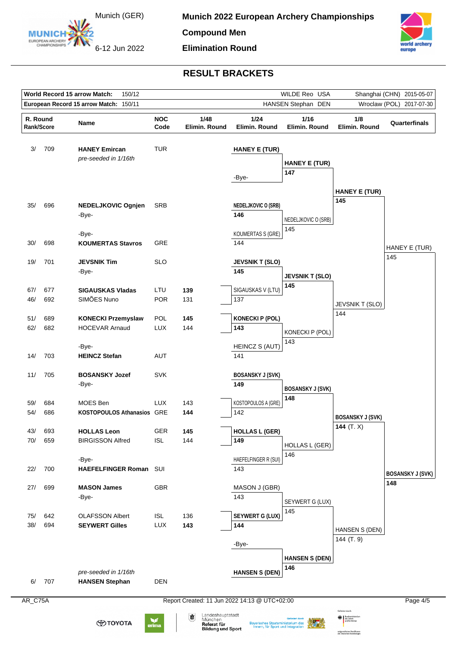

**Compound Men**

6-12 Jun 2022

**Elimination Round**



# **RESULT BRACKETS**

|                        |                                                                                                                                                                                                                                                   | World Record 15 arrow Match:<br>150/12             |                          |                                               | WILDE Reo USA<br>Shanghai (CHN) 2015-05-07 |                                |                              |                         |  |  |
|------------------------|---------------------------------------------------------------------------------------------------------------------------------------------------------------------------------------------------------------------------------------------------|----------------------------------------------------|--------------------------|-----------------------------------------------|--------------------------------------------|--------------------------------|------------------------------|-------------------------|--|--|
|                        |                                                                                                                                                                                                                                                   | European Record 15 arrow Match: 150/11             |                          |                                               |                                            | HANSEN Stephan DEN             | Wroclaw (POL) 2017-07-30     |                         |  |  |
| R. Round<br>Rank/Score |                                                                                                                                                                                                                                                   | Name                                               | <b>NOC</b><br>Code       | 1/48<br>Elimin. Round                         | 1/24<br>Elimin. Round                      | 1/16<br>Elimin. Round          | 1/8<br>Elimin. Round         | Quarterfinals           |  |  |
| 3/                     | 709                                                                                                                                                                                                                                               | <b>HANEY Emircan</b><br>pre-seeded in 1/16th       | <b>TUR</b>               |                                               | <b>HANEY E (TUR)</b>                       | <b>HANEY E (TUR)</b>           |                              |                         |  |  |
|                        |                                                                                                                                                                                                                                                   |                                                    |                          |                                               | -Bye-                                      | 147                            | <b>HANEY E (TUR)</b>         |                         |  |  |
| 35/                    | 696                                                                                                                                                                                                                                               | <b>NEDELJKOVIC Ognjen</b><br>-Bye-                 | <b>SRB</b>               |                                               | <b>NEDELJKOVIC O (SRB)</b><br>146          | NEDELJKOVIC O (SRB)            | 145                          |                         |  |  |
| 30/                    | 698                                                                                                                                                                                                                                               | -Bye-<br><b>KOUMERTAS Stavros</b>                  | GRE                      |                                               | <b>KOUMERTAS S (GRE)</b><br>144            | 145                            |                              | HANEY E (TUR)           |  |  |
| 19/                    | 701                                                                                                                                                                                                                                               | <b>JEVSNIK Tim</b><br>-Bye-                        | <b>SLO</b>               |                                               | <b>JEVSNIK T (SLO)</b><br>145              | <b>JEVSNIK T (SLO)</b>         |                              | 145                     |  |  |
| 67/<br>46/             | 677<br>692                                                                                                                                                                                                                                        | <b>SIGAUSKAS Vladas</b><br>SIMÕES Nuno             | LTU<br><b>POR</b>        | 139<br>131                                    | SIGAUSKAS V (LTU)<br>137                   | 145                            | JEVSNIK T (SLO)              |                         |  |  |
| 51/<br>62/             | 689<br>682                                                                                                                                                                                                                                        | <b>KONECKI Przemyslaw</b><br><b>HOCEVAR Arnaud</b> | POL<br><b>LUX</b>        | 145<br>144                                    | <b>KONECKI P (POL)</b><br>143              | KONECKI P (POL)                | 144                          |                         |  |  |
| 14/                    | 703                                                                                                                                                                                                                                               | -Bye-<br><b>HEINCZ Stefan</b>                      | AUT                      |                                               | HEINCZ S (AUT)<br>141                      | 143                            |                              |                         |  |  |
| 11/                    | 705                                                                                                                                                                                                                                               | <b>BOSANSKY Jozef</b><br>-Bye-                     | <b>SVK</b>               |                                               | <b>BOSANSKY J (SVK)</b><br>149             | <b>BOSANSKY J (SVK)</b><br>148 |                              |                         |  |  |
| 59/<br>54/             | 684<br>686                                                                                                                                                                                                                                        | MOES Ben<br>KOSTOPOULOS Athanasios GRE             | <b>LUX</b>               | 143<br>144                                    | KOSTOPOULOS A (GRE)<br>142                 |                                | <b>BOSANSKY J (SVK)</b>      |                         |  |  |
| 43/<br>70/             | 693<br>659                                                                                                                                                                                                                                        | <b>HOLLAS Leon</b><br><b>BIRGISSON Alfred</b>      | <b>GER</b><br><b>ISL</b> | 145<br>144                                    | <b>HOLLAS L (GER)</b><br>149               | <b>HOLLAS L (GER)</b>          | 144 $(T. X)$                 |                         |  |  |
| 22/                    | 700                                                                                                                                                                                                                                               | -Bye-<br>HAEFELFINGER Roman SUI                    |                          |                                               | HAEFELFINGER R (SUI)<br>143                | 146                            |                              | <b>BOSANSKY J (SVK)</b> |  |  |
| 27/                    | 699                                                                                                                                                                                                                                               | <b>MASON James</b><br>-Bye-                        | <b>GBR</b>               |                                               | MASON J (GBR)<br>143                       | SEYWERT G (LUX)                |                              | 148                     |  |  |
| 75/<br>38/             | 642<br>694                                                                                                                                                                                                                                        | <b>OLAFSSON Albert</b><br><b>SEYWERT Gilles</b>    | <b>ISL</b><br><b>LUX</b> | 136<br>143                                    | <b>SEYWERT G (LUX)</b><br>144              | 145                            | HANSEN S (DEN)<br>144 (T. 9) |                         |  |  |
| 6/                     | 707                                                                                                                                                                                                                                               | pre-seeded in 1/16th<br><b>HANSEN Stephan</b>      | <b>DEN</b>               |                                               | -Bye-<br><b>HANSEN S (DEN)</b>             | <b>HANSEN S (DEN)</b><br>146   |                              |                         |  |  |
| AR_C75A                |                                                                                                                                                                                                                                                   |                                                    |                          | Report Created: 11 Jun 2022 14:13 @ UTC+02:00 |                                            |                                |                              | Page 4/5                |  |  |
|                        | Gefördert durch<br>Landeshauptstadt<br>谳<br>München<br>des Innern<br>v<br>⊕тоүотд<br><b>Bayerisches Staatsministerium des</b><br>Referat für<br>erima<br>Innern, für Sport und Integration<br><b>Bildung und Sport</b><br>autgrund eines Beschlus |                                                    |                          |                                               |                                            |                                |                              |                         |  |  |

aufgrund eines Beschlusses<br>des Deutschen Bundestages